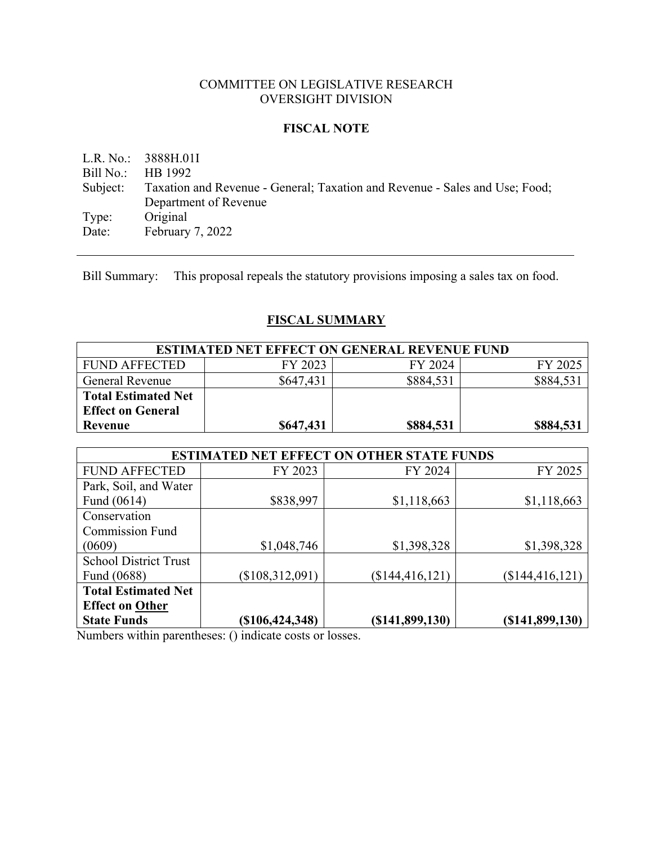### COMMITTEE ON LEGISLATIVE RESEARCH OVERSIGHT DIVISION

#### **FISCAL NOTE**

L.R. No.: 3888H.01I Bill No.: HB 1992 Subject: Taxation and Revenue - General; Taxation and Revenue - Sales and Use; Food; Department of Revenue Type: Original Date: February 7, 2022

Bill Summary: This proposal repeals the statutory provisions imposing a sales tax on food.

## **FISCAL SUMMARY**

| <b>ESTIMATED NET EFFECT ON GENERAL REVENUE FUND</b> |           |           |           |
|-----------------------------------------------------|-----------|-----------|-----------|
| FUND AFFECTED                                       | FY 2023   | FY 2024   | FY 2025   |
| <b>General Revenue</b>                              | \$647,431 | \$884,531 | \$884,531 |
| <b>Total Estimated Net</b>                          |           |           |           |
| <b>Effect on General</b>                            |           |           |           |
| Revenue                                             | \$647,431 | \$884,531 | \$884,531 |

| <b>ESTIMATED NET EFFECT ON OTHER STATE FUNDS</b> |                 |                  |                  |  |
|--------------------------------------------------|-----------------|------------------|------------------|--|
| <b>FUND AFFECTED</b>                             | FY 2023         | FY 2024          | FY 2025          |  |
| Park, Soil, and Water                            |                 |                  |                  |  |
| Fund (0614)                                      | \$838,997       | \$1,118,663      | \$1,118,663      |  |
| Conservation                                     |                 |                  |                  |  |
| <b>Commission Fund</b>                           |                 |                  |                  |  |
| (0609)                                           | \$1,048,746     | \$1,398,328      | \$1,398,328      |  |
| <b>School District Trust</b>                     |                 |                  |                  |  |
| Fund (0688)                                      | (\$108,312,091) | (\$144,416,121)  | (\$144,416,121)  |  |
| <b>Total Estimated Net</b>                       |                 |                  |                  |  |
| <b>Effect on Other</b>                           |                 |                  |                  |  |
| <b>State Funds</b>                               | (\$106,424,348) | (S141, 899, 130) | (S141, 899, 130) |  |

Numbers within parentheses: () indicate costs or losses.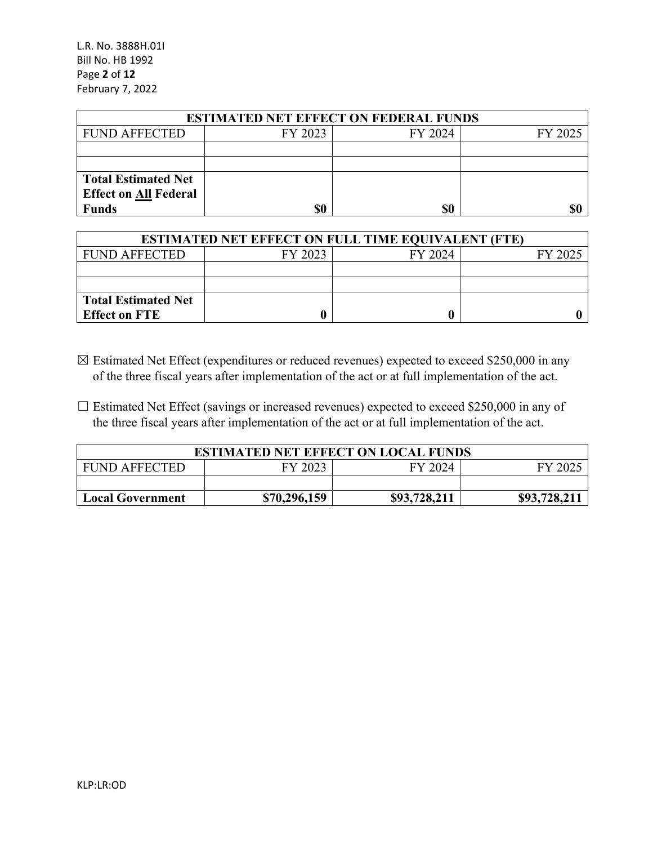L.R. No. 3888H.01I Bill No. HB 1992 Page **2** of **12** February 7, 2022

| <b>ESTIMATED NET EFFECT ON FEDERAL FUNDS</b> |         |         |         |  |
|----------------------------------------------|---------|---------|---------|--|
| <b>FUND AFFECTED</b>                         | FY 2023 | FY 2024 | FY 2025 |  |
|                                              |         |         |         |  |
|                                              |         |         |         |  |
| <b>Total Estimated Net</b>                   |         |         |         |  |
| <b>Effect on All Federal</b>                 |         |         |         |  |
| <b>Funds</b>                                 | \$0     | \$0     | \$0     |  |

| <b>ESTIMATED NET EFFECT ON FULL TIME EQUIVALENT (FTE)</b> |         |         |         |  |
|-----------------------------------------------------------|---------|---------|---------|--|
| <b>FUND AFFECTED</b>                                      | FY 2023 | FY 2024 | FY 2025 |  |
|                                                           |         |         |         |  |
|                                                           |         |         |         |  |
| <b>Total Estimated Net</b>                                |         |         |         |  |
| <b>Effect on FTE</b>                                      |         |         |         |  |

- ☒ Estimated Net Effect (expenditures or reduced revenues) expected to exceed \$250,000 in any of the three fiscal years after implementation of the act or at full implementation of the act.
- $\Box$  Estimated Net Effect (savings or increased revenues) expected to exceed \$250,000 in any of the three fiscal years after implementation of the act or at full implementation of the act.

| <b>ESTIMATED NET EFFECT ON LOCAL FUNDS</b>                              |  |  |  |  |  |
|-------------------------------------------------------------------------|--|--|--|--|--|
| FY 2023<br>FY 2024<br><b>FUND AFFECTED</b><br>FY 2025                   |  |  |  |  |  |
|                                                                         |  |  |  |  |  |
| \$93,728,211<br>\$93,728,211<br>\$70,296,159<br><b>Local Government</b> |  |  |  |  |  |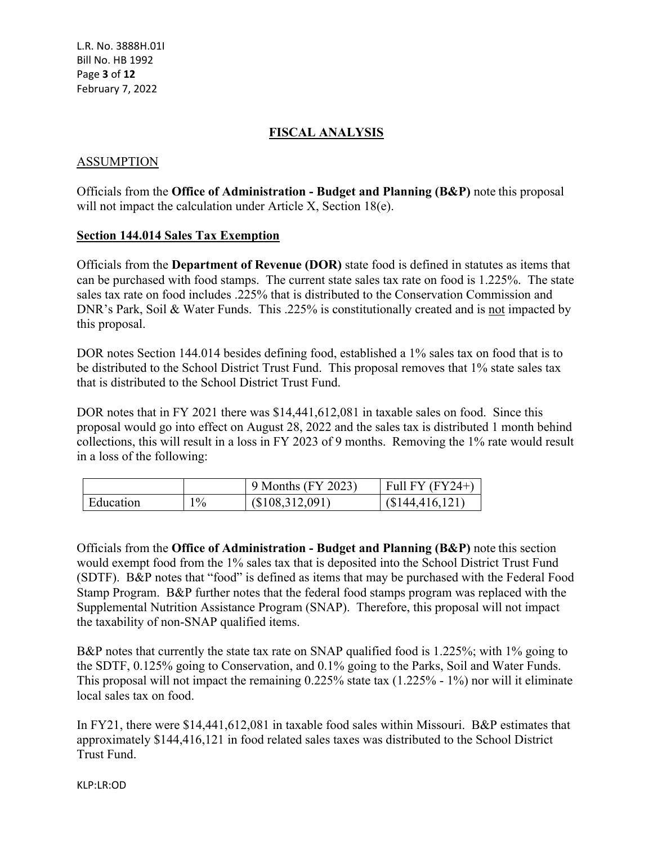L.R. No. 3888H.01I Bill No. HB 1992 Page **3** of **12** February 7, 2022

### **FISCAL ANALYSIS**

#### ASSUMPTION

Officials from the **Office of Administration - Budget and Planning (B&P)** note this proposal will not impact the calculation under Article X, Section 18(e).

#### **Section 144.014 Sales Tax Exemption**

Officials from the **Department of Revenue (DOR)** state food is defined in statutes as items that can be purchased with food stamps. The current state sales tax rate on food is 1.225%. The state sales tax rate on food includes .225% that is distributed to the Conservation Commission and DNR's Park, Soil & Water Funds. This .225% is constitutionally created and is not impacted by this proposal.

DOR notes Section 144.014 besides defining food, established a 1% sales tax on food that is to be distributed to the School District Trust Fund. This proposal removes that 1% state sales tax that is distributed to the School District Trust Fund.

DOR notes that in FY 2021 there was \$14,441,612,081 in taxable sales on food. Since this proposal would go into effect on August 28, 2022 and the sales tax is distributed 1 month behind collections, this will result in a loss in FY 2023 of 9 months. Removing the 1% rate would result in a loss of the following:

|           |       | 9 Months (FY 2023) | Full FY $(FY24+)$ |
|-----------|-------|--------------------|-------------------|
| Education | $1\%$ | (\$108,312,091)    | (S144, 416, 121)  |

Officials from the **Office of Administration - Budget and Planning (B&P)** note this section would exempt food from the 1% sales tax that is deposited into the School District Trust Fund (SDTF). B&P notes that "food" is defined as items that may be purchased with the Federal Food Stamp Program. B&P further notes that the federal food stamps program was replaced with the Supplemental Nutrition Assistance Program (SNAP). Therefore, this proposal will not impact the taxability of non-SNAP qualified items.

B&P notes that currently the state tax rate on SNAP qualified food is 1.225%; with 1% going to the SDTF, 0.125% going to Conservation, and 0.1% going to the Parks, Soil and Water Funds. This proposal will not impact the remaining 0.225% state tax (1.225% - 1%) nor will it eliminate local sales tax on food.

In FY21, there were \$14,441,612,081 in taxable food sales within Missouri. B&P estimates that approximately \$144,416,121 in food related sales taxes was distributed to the School District Trust Fund.

KLP:LR:OD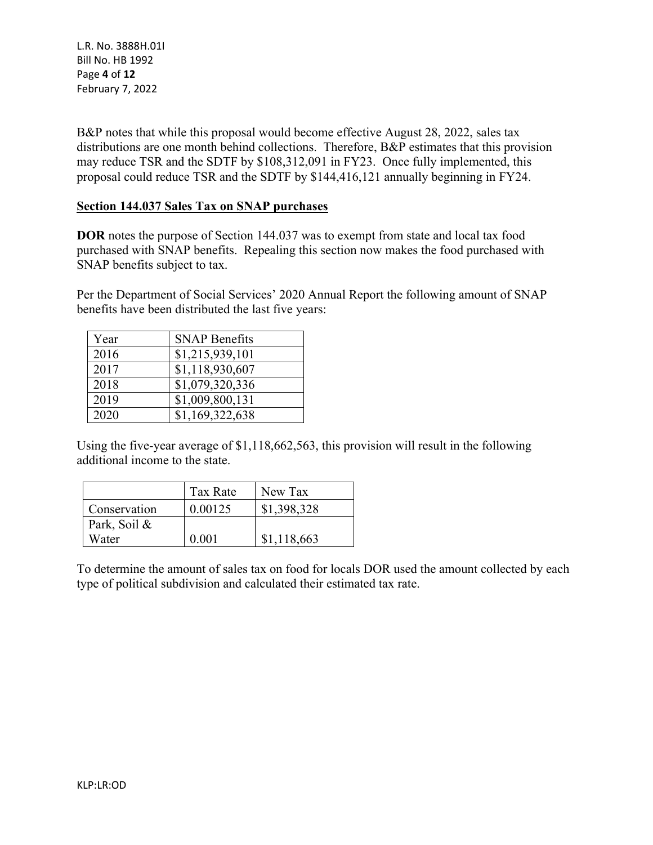L.R. No. 3888H.01I Bill No. HB 1992 Page **4** of **12** February 7, 2022

B&P notes that while this proposal would become effective August 28, 2022, sales tax distributions are one month behind collections. Therefore, B&P estimates that this provision may reduce TSR and the SDTF by \$108,312,091 in FY23. Once fully implemented, this proposal could reduce TSR and the SDTF by \$144,416,121 annually beginning in FY24.

#### **Section 144.037 Sales Tax on SNAP purchases**

**DOR** notes the purpose of Section 144.037 was to exempt from state and local tax food purchased with SNAP benefits. Repealing this section now makes the food purchased with SNAP benefits subject to tax.

Per the Department of Social Services' 2020 Annual Report the following amount of SNAP benefits have been distributed the last five years:

| Year | <b>SNAP Benefits</b> |
|------|----------------------|
| 2016 | \$1,215,939,101      |
| 2017 | \$1,118,930,607      |
| 2018 | \$1,079,320,336      |
| 2019 | \$1,009,800,131      |
| 2020 | \$1,169,322,638      |

Using the five-year average of \$1,118,662,563, this provision will result in the following additional income to the state.

|              | Tax Rate | New Tax     |
|--------------|----------|-------------|
| Conservation | 0.00125  | \$1,398,328 |
| Park, Soil & |          |             |
| Water        | 0.001    | \$1,118,663 |

To determine the amount of sales tax on food for locals DOR used the amount collected by each type of political subdivision and calculated their estimated tax rate.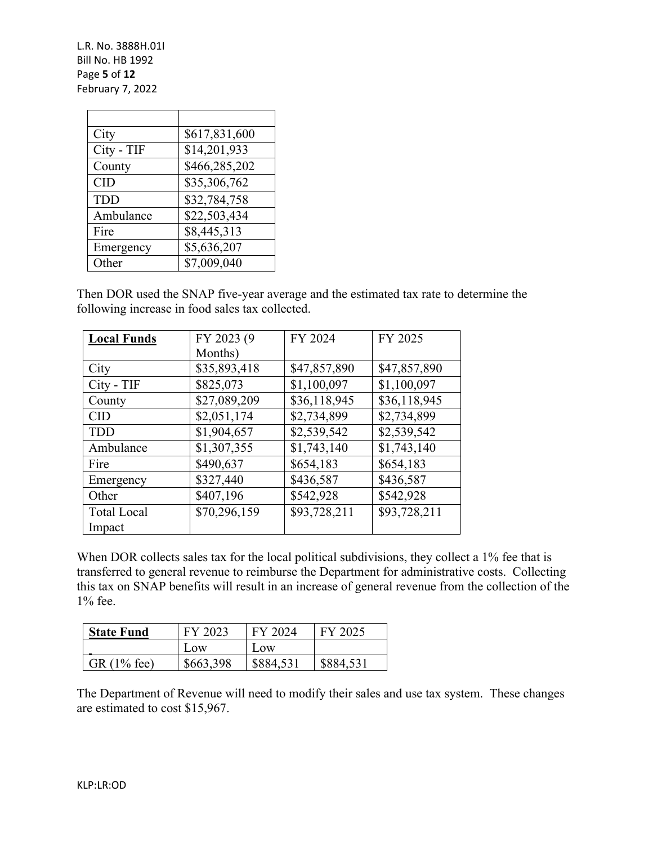L.R. No. 3888H.01I Bill No. HB 1992 Page **5** of **12** February 7, 2022

| City       | \$617,831,600 |
|------------|---------------|
| City - TIF | \$14,201,933  |
| County     | \$466,285,202 |
| <b>CID</b> | \$35,306,762  |
| <b>TDD</b> | \$32,784,758  |
| Ambulance  | \$22,503,434  |
| Fire       | \$8,445,313   |
| Emergency  | \$5,636,207   |
| Other      | \$7,009,040   |

Then DOR used the SNAP five-year average and the estimated tax rate to determine the following increase in food sales tax collected.

| <b>Local Funds</b> | FY 2023 (9)  | FY 2024      | FY 2025      |
|--------------------|--------------|--------------|--------------|
|                    | Months)      |              |              |
| City               | \$35,893,418 | \$47,857,890 | \$47,857,890 |
| City - TIF         | \$825,073    | \$1,100,097  | \$1,100,097  |
| County             | \$27,089,209 | \$36,118,945 | \$36,118,945 |
| <b>CID</b>         | \$2,051,174  | \$2,734,899  | \$2,734,899  |
| <b>TDD</b>         | \$1,904,657  | \$2,539,542  | \$2,539,542  |
| Ambulance          | \$1,307,355  | \$1,743,140  | \$1,743,140  |
| Fire               | \$490,637    | \$654,183    | \$654,183    |
| Emergency          | \$327,440    | \$436,587    | \$436,587    |
| Other              | \$407,196    | \$542,928    | \$542,928    |
| <b>Total Local</b> | \$70,296,159 | \$93,728,211 | \$93,728,211 |
| Impact             |              |              |              |

When DOR collects sales tax for the local political subdivisions, they collect a 1% fee that is transferred to general revenue to reimburse the Department for administrative costs. Collecting this tax on SNAP benefits will result in an increase of general revenue from the collection of the 1% fee.

| <b>State Fund</b> | FY 2023   | FY 2024   | FY 2025   |
|-------------------|-----------|-----------|-----------|
|                   | $\log$    | Low       |           |
| GR $(1\%$ fee)    | \$663,398 | \$884,531 | \$884,531 |

The Department of Revenue will need to modify their sales and use tax system. These changes are estimated to cost \$15,967.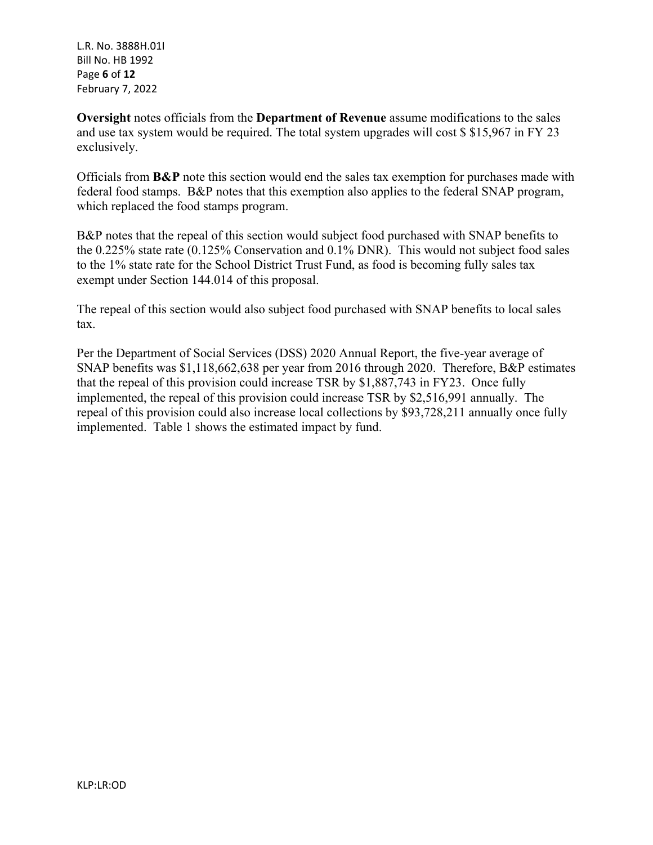L.R. No. 3888H.01I Bill No. HB 1992 Page **6** of **12** February 7, 2022

**Oversight** notes officials from the **Department of Revenue** assume modifications to the sales and use tax system would be required. The total system upgrades will cost \$ \$15,967 in FY 23 exclusively.

Officials from **B&P** note this section would end the sales tax exemption for purchases made with federal food stamps. B&P notes that this exemption also applies to the federal SNAP program, which replaced the food stamps program.

B&P notes that the repeal of this section would subject food purchased with SNAP benefits to the 0.225% state rate (0.125% Conservation and 0.1% DNR). This would not subject food sales to the 1% state rate for the School District Trust Fund, as food is becoming fully sales tax exempt under Section 144.014 of this proposal.

The repeal of this section would also subject food purchased with SNAP benefits to local sales tax.

Per the Department of Social Services (DSS) 2020 Annual Report, the five-year average of SNAP benefits was \$1,118,662,638 per year from 2016 through 2020. Therefore, B&P estimates that the repeal of this provision could increase TSR by \$1,887,743 in FY23. Once fully implemented, the repeal of this provision could increase TSR by \$2,516,991 annually. The repeal of this provision could also increase local collections by \$93,728,211 annually once fully implemented. Table 1 shows the estimated impact by fund.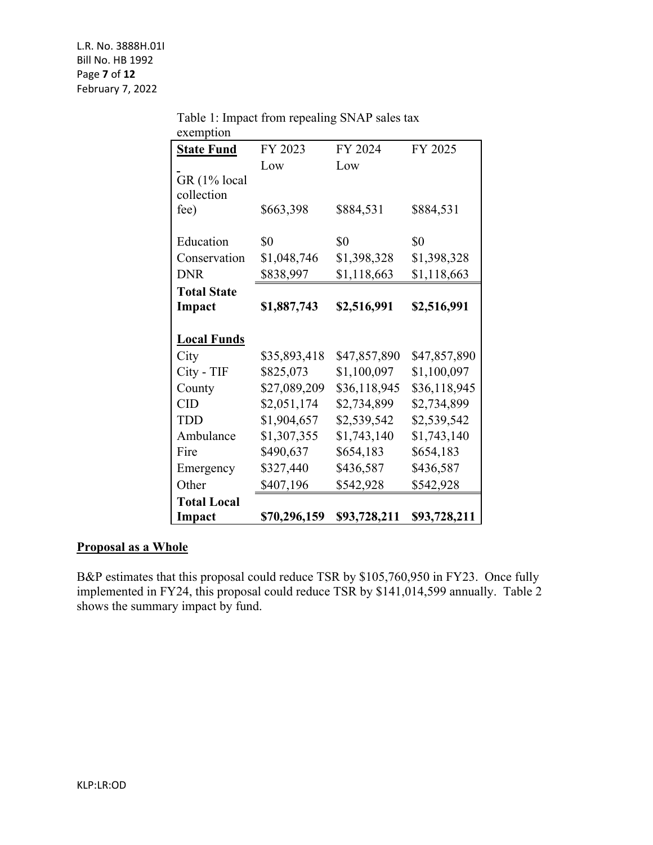| exemption          |              |              |              |
|--------------------|--------------|--------------|--------------|
| <b>State Fund</b>  | FY 2023      | FY 2024      | FY 2025      |
|                    | Low          | Low          |              |
| GR (1% local       |              |              |              |
| collection         |              |              |              |
| fee)               | \$663,398    | \$884,531    | \$884,531    |
|                    |              |              |              |
| Education          | \$0          | \$0          | \$0          |
| Conservation       | \$1,048,746  | \$1,398,328  | \$1,398,328  |
| <b>DNR</b>         | \$838,997    | \$1,118,663  | \$1,118,663  |
| <b>Total State</b> |              |              |              |
| Impact             | \$1,887,743  | \$2,516,991  | \$2,516,991  |
|                    |              |              |              |
| <b>Local Funds</b> |              |              |              |
| City               | \$35,893,418 | \$47,857,890 | \$47,857,890 |
| City - TIF         | \$825,073    | \$1,100,097  | \$1,100,097  |
| County             | \$27,089,209 | \$36,118,945 | \$36,118,945 |
| <b>CID</b>         | \$2,051,174  | \$2,734,899  | \$2,734,899  |
| <b>TDD</b>         | \$1,904,657  | \$2,539,542  | \$2,539,542  |
| Ambulance          | \$1,307,355  | \$1,743,140  | \$1,743,140  |
| Fire               | \$490,637    | \$654,183    | \$654,183    |
| Emergency          | \$327,440    | \$436,587    | \$436,587    |
| Other              | \$407,196    | \$542,928    | \$542,928    |
| <b>Total Local</b> |              |              |              |
| Impact             | \$70,296,159 | \$93,728,211 | \$93,728,211 |

Table 1: Impact from repealing SNAP sales tax

## **Proposal as a Whole**

B&P estimates that this proposal could reduce TSR by \$105,760,950 in FY23. Once fully implemented in FY24, this proposal could reduce TSR by \$141,014,599 annually. Table 2 shows the summary impact by fund.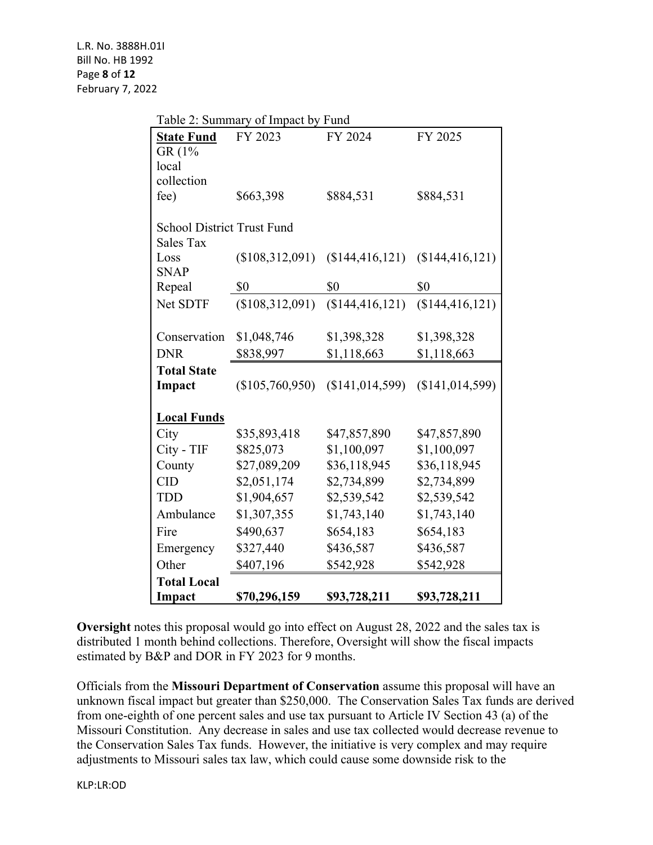| Table 2: Summary of Impact by Fund |                                   |                   |                 |  |  |  |
|------------------------------------|-----------------------------------|-------------------|-----------------|--|--|--|
| <b>State Fund</b>                  | FY 2023                           | FY 2024           | FY 2025         |  |  |  |
| GR (1%                             |                                   |                   |                 |  |  |  |
| local                              |                                   |                   |                 |  |  |  |
| collection                         |                                   |                   |                 |  |  |  |
| fee)                               | \$663,398                         | \$884,531         | \$884,531       |  |  |  |
|                                    | <b>School District Trust Fund</b> |                   |                 |  |  |  |
| <b>Sales Tax</b>                   |                                   |                   |                 |  |  |  |
| Loss                               | (\$108,312,091)                   | (\$144,416,121)   | (\$144,416,121) |  |  |  |
| <b>SNAP</b>                        |                                   |                   |                 |  |  |  |
| Repeal                             | \$0                               | \$0               | \$0             |  |  |  |
| Net SDTF                           | (\$108,312,091)                   | (\$144,416,121)   | (\$144,416,121) |  |  |  |
|                                    |                                   |                   |                 |  |  |  |
| Conservation                       | \$1,048,746                       | \$1,398,328       | \$1,398,328     |  |  |  |
| <b>DNR</b>                         | \$838,997                         | \$1,118,663       | \$1,118,663     |  |  |  |
| <b>Total State</b>                 |                                   |                   |                 |  |  |  |
| Impact                             | (\$105,760,950)                   | (\$141, 014, 599) | (\$141,014,599) |  |  |  |
|                                    |                                   |                   |                 |  |  |  |
| <b>Local Funds</b>                 |                                   |                   |                 |  |  |  |
| City                               | \$35,893,418                      | \$47,857,890      | \$47,857,890    |  |  |  |
| City - TIF                         | \$825,073                         | \$1,100,097       | \$1,100,097     |  |  |  |
| County                             | \$27,089,209                      | \$36,118,945      | \$36,118,945    |  |  |  |
| <b>CID</b>                         | \$2,051,174                       | \$2,734,899       | \$2,734,899     |  |  |  |
| TDD                                | \$1,904,657                       | \$2,539,542       | \$2,539,542     |  |  |  |
| Ambulance                          | \$1,307,355                       | \$1,743,140       | \$1,743,140     |  |  |  |
| Fire                               | \$490,637                         | \$654,183         | \$654,183       |  |  |  |
| Emergency                          | \$327,440                         | \$436,587         | \$436,587       |  |  |  |
| Other                              | \$407,196                         | \$542,928         | \$542,928       |  |  |  |
| <b>Total Local</b>                 |                                   |                   |                 |  |  |  |
| Impact                             | \$70,296,159                      | \$93,728,211      | \$93,728,211    |  |  |  |

**Oversight** notes this proposal would go into effect on August 28, 2022 and the sales tax is distributed 1 month behind collections. Therefore, Oversight will show the fiscal impacts estimated by B&P and DOR in FY 2023 for 9 months.

Officials from the **Missouri Department of Conservation** assume this proposal will have an unknown fiscal impact but greater than \$250,000. The Conservation Sales Tax funds are derived from one-eighth of one percent sales and use tax pursuant to Article IV Section 43 (a) of the Missouri Constitution. Any decrease in sales and use tax collected would decrease revenue to the Conservation Sales Tax funds. However, the initiative is very complex and may require adjustments to Missouri sales tax law, which could cause some downside risk to the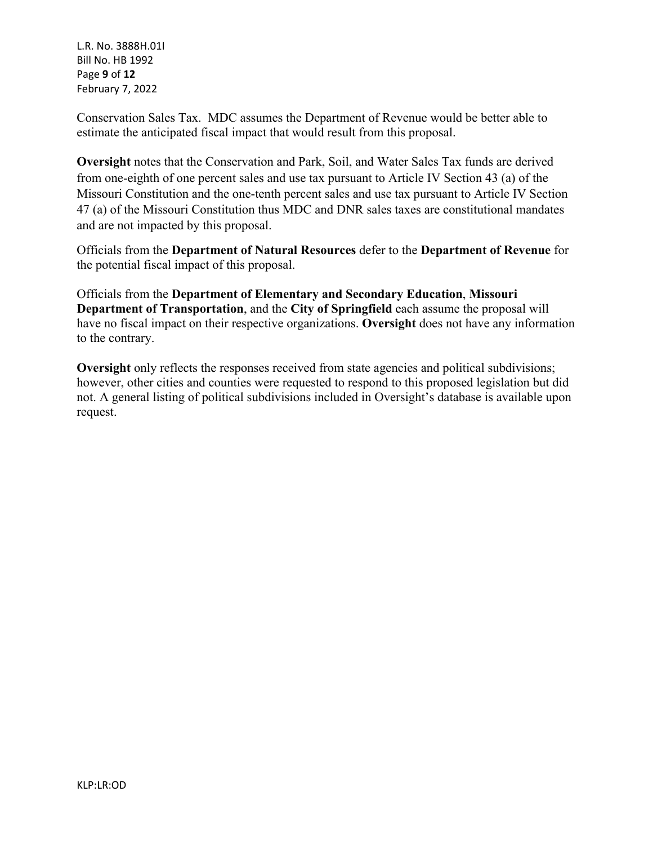L.R. No. 3888H.01I Bill No. HB 1992 Page **9** of **12** February 7, 2022

Conservation Sales Tax. MDC assumes the Department of Revenue would be better able to estimate the anticipated fiscal impact that would result from this proposal.

**Oversight** notes that the Conservation and Park, Soil, and Water Sales Tax funds are derived from one-eighth of one percent sales and use tax pursuant to Article IV Section 43 (a) of the Missouri Constitution and the one-tenth percent sales and use tax pursuant to Article IV Section 47 (a) of the Missouri Constitution thus MDC and DNR sales taxes are constitutional mandates and are not impacted by this proposal.

Officials from the **Department of Natural Resources** defer to the **Department of Revenue** for the potential fiscal impact of this proposal.

Officials from the **Department of Elementary and Secondary Education**, **Missouri Department of Transportation**, and the **City of Springfield** each assume the proposal will have no fiscal impact on their respective organizations. **Oversight** does not have any information to the contrary.

**Oversight** only reflects the responses received from state agencies and political subdivisions; however, other cities and counties were requested to respond to this proposed legislation but did not. A general listing of political subdivisions included in Oversight's database is available upon request.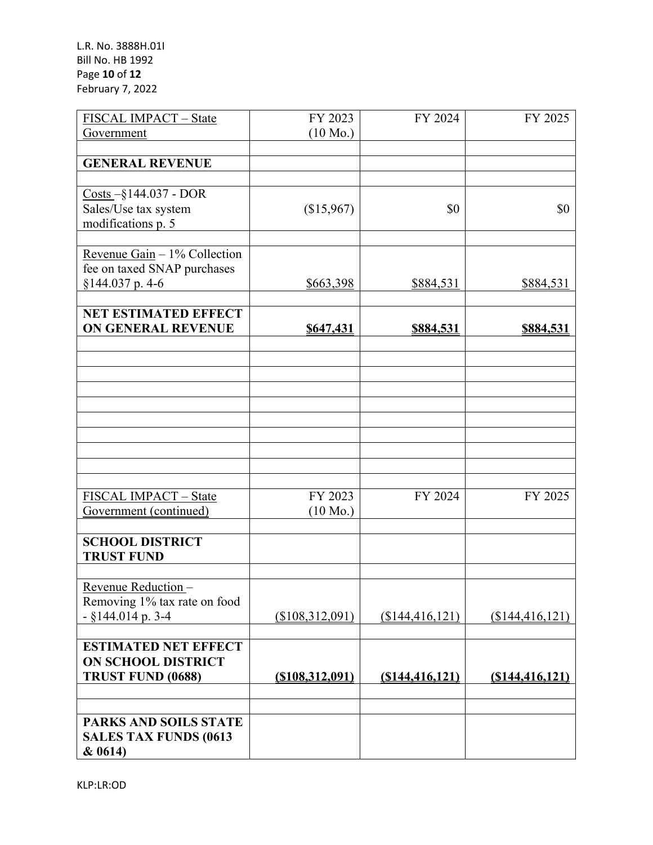L.R. No. 3888H.01I Bill No. HB 1992 Page **10** of **12** February 7, 2022

| FISCAL IMPACT - State                                           | FY 2023            | FY 2024          | FY 2025          |
|-----------------------------------------------------------------|--------------------|------------------|------------------|
| Government                                                      | $(10 \text{ Mo.})$ |                  |                  |
|                                                                 |                    |                  |                  |
| <b>GENERAL REVENUE</b>                                          |                    |                  |                  |
|                                                                 |                    |                  |                  |
| $\frac{\text{Costs}}{\text{}} - \frac{144.037 - \text{DOR}}{2}$ |                    |                  |                  |
| Sales/Use tax system                                            | (\$15,967)         | \$0              | \$0              |
| modifications p. 5                                              |                    |                  |                  |
| Revenue Gain $-1\%$ Collection                                  |                    |                  |                  |
| fee on taxed SNAP purchases                                     |                    |                  |                  |
| §144.037 p. 4-6                                                 | \$663,398          | \$884,531        | \$884,531        |
|                                                                 |                    |                  |                  |
| <b>NET ESTIMATED EFFECT</b>                                     |                    |                  |                  |
| <b>ON GENERAL REVENUE</b>                                       | \$647,431          | \$884,531        | <u>\$884,531</u> |
|                                                                 |                    |                  |                  |
|                                                                 |                    |                  |                  |
|                                                                 |                    |                  |                  |
|                                                                 |                    |                  |                  |
|                                                                 |                    |                  |                  |
|                                                                 |                    |                  |                  |
|                                                                 |                    |                  |                  |
|                                                                 |                    |                  |                  |
|                                                                 |                    |                  |                  |
| FISCAL IMPACT - State                                           | FY 2023            | FY 2024          | FY 2025          |
| Government (continued)                                          | $(10 \text{ Mo.})$ |                  |                  |
|                                                                 |                    |                  |                  |
| <b>SCHOOL DISTRICT</b><br><b>TRUST FUND</b>                     |                    |                  |                  |
|                                                                 |                    |                  |                  |
| Revenue Reduction                                               |                    |                  |                  |
| Removing 1% tax rate on food                                    |                    |                  |                  |
| $-$ §144.014 p. 3-4                                             | (\$108,312,091)    | (\$144,416,121)  | (\$144,416,121)  |
|                                                                 |                    |                  |                  |
| <b>ESTIMATED NET EFFECT</b>                                     |                    |                  |                  |
| <b>ON SCHOOL DISTRICT</b>                                       |                    |                  |                  |
| TRUST FUND (0688)                                               | $($ \$108,312,091) | (S144, 416, 121) | (S144, 416, 121) |
|                                                                 |                    |                  |                  |
| <b>PARKS AND SOILS STATE</b>                                    |                    |                  |                  |
| <b>SALES TAX FUNDS (0613)</b>                                   |                    |                  |                  |
| & 0614)                                                         |                    |                  |                  |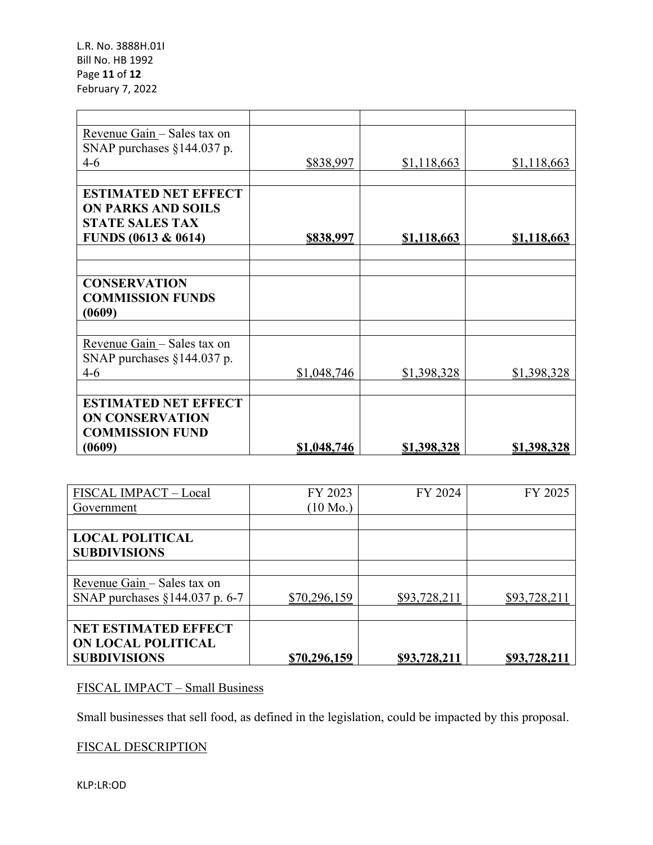| Revenue Gain - Sales tax on |             |             |                    |
|-----------------------------|-------------|-------------|--------------------|
| SNAP purchases §144.037 p.  |             |             |                    |
| $4-6$                       | \$838,997   | \$1,118,663 | \$1,118,663        |
|                             |             |             |                    |
| <b>ESTIMATED NET EFFECT</b> |             |             |                    |
| <b>ON PARKS AND SOILS</b>   |             |             |                    |
| <b>STATE SALES TAX</b>      |             |             |                    |
| FUNDS (0613 & 0614)         | \$838,997   | \$1,118,663 | <u>\$1,118,663</u> |
|                             |             |             |                    |
|                             |             |             |                    |
| <b>CONSERVATION</b>         |             |             |                    |
| <b>COMMISSION FUNDS</b>     |             |             |                    |
|                             |             |             |                    |
| (0609)                      |             |             |                    |
|                             |             |             |                    |
| Revenue Gain - Sales tax on |             |             |                    |
| SNAP purchases §144.037 p.  |             |             |                    |
| $4-6$                       | \$1,048,746 | \$1,398,328 | \$1,398,328        |
|                             |             |             |                    |
| <b>ESTIMATED NET EFFECT</b> |             |             |                    |
| <b>ON CONSERVATION</b>      |             |             |                    |
| <b>COMMISSION FUND</b>      |             |             |                    |
| (0609)                      | \$1,048,746 | \$1,398,328 | <u>\$1,398,328</u> |

| FISCAL IMPACT - Local            | FY 2023            | FY 2024             | FY 2025      |
|----------------------------------|--------------------|---------------------|--------------|
| Government                       | $(10 \text{ Mo.})$ |                     |              |
|                                  |                    |                     |              |
| <b>LOCAL POLITICAL</b>           |                    |                     |              |
| <b>SUBDIVISIONS</b>              |                    |                     |              |
|                                  |                    |                     |              |
| Revenue Gain - Sales tax on      |                    |                     |              |
| SNAP purchases $§144.037$ p. 6-7 | \$70,296,159       | \$93,728,211        | \$93,728,211 |
|                                  |                    |                     |              |
| <b>NET ESTIMATED EFFECT</b>      |                    |                     |              |
| ON LOCAL POLITICAL               |                    |                     |              |
| <b>SUBDIVISIONS</b>              | \$70,296,159       | <u>\$93,728,211</u> | \$93,728,21  |

# FISCAL IMPACT – Small Business

Small businesses that sell food, as defined in the legislation, could be impacted by this proposal.

# FISCAL DESCRIPTION